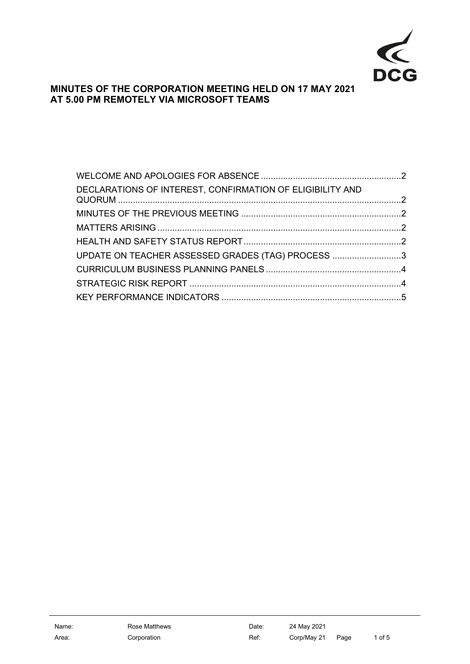

# **MINUTES OF THE CORPORATION MEETING HELD ON 17 MAY 2021 AT 5.00 PM REMOTELY VIA MICROSOFT TEAMS**

| DECLARATIONS OF INTEREST, CONFIRMATION OF ELIGIBILITY AND |  |
|-----------------------------------------------------------|--|
|                                                           |  |
|                                                           |  |
|                                                           |  |
| UPDATE ON TEACHER ASSESSED GRADES (TAG) PROCESS 3         |  |
|                                                           |  |
|                                                           |  |
|                                                           |  |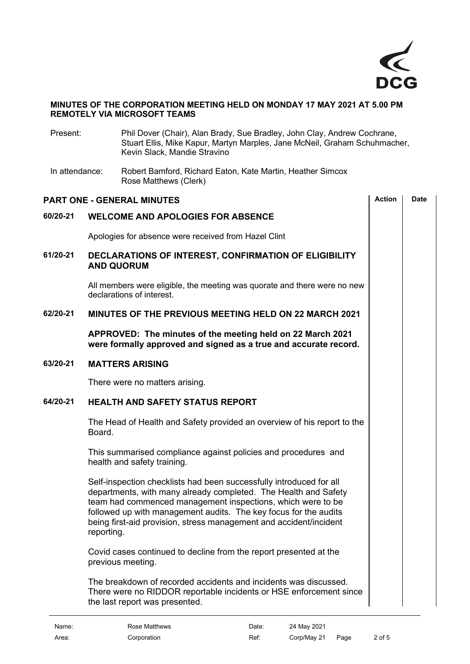

# **MINUTES OF THE CORPORATION MEETING HELD ON MONDAY 17 MAY 2021 AT 5.00 PM REMOTELY VIA MICROSOFT TEAMS**

<span id="page-1-4"></span><span id="page-1-3"></span><span id="page-1-2"></span><span id="page-1-1"></span><span id="page-1-0"></span>

| Present:       | Phil Dover (Chair), Alan Brady, Sue Bradley, John Clay, Andrew Cochrane,<br>Stuart Ellis, Mike Kapur, Martyn Marples, Jane McNeil, Graham Schuhmacher,<br>Kevin Slack, Mandie Stravino                                                                                                                                                                        |               |             |  |
|----------------|---------------------------------------------------------------------------------------------------------------------------------------------------------------------------------------------------------------------------------------------------------------------------------------------------------------------------------------------------------------|---------------|-------------|--|
| In attendance: | Robert Bamford, Richard Eaton, Kate Martin, Heather Simcox<br>Rose Matthews (Clerk)                                                                                                                                                                                                                                                                           |               |             |  |
|                | <b>PART ONE - GENERAL MINUTES</b>                                                                                                                                                                                                                                                                                                                             | <b>Action</b> | <b>Date</b> |  |
| 60/20-21       | <b>WELCOME AND APOLOGIES FOR ABSENCE</b>                                                                                                                                                                                                                                                                                                                      |               |             |  |
|                | Apologies for absence were received from Hazel Clint                                                                                                                                                                                                                                                                                                          |               |             |  |
| 61/20-21       | DECLARATIONS OF INTEREST, CONFIRMATION OF ELIGIBILITY<br><b>AND QUORUM</b>                                                                                                                                                                                                                                                                                    |               |             |  |
|                | All members were eligible, the meeting was quorate and there were no new<br>declarations of interest.                                                                                                                                                                                                                                                         |               |             |  |
| 62/20-21       | <b>MINUTES OF THE PREVIOUS MEETING HELD ON 22 MARCH 2021</b>                                                                                                                                                                                                                                                                                                  |               |             |  |
|                | APPROVED: The minutes of the meeting held on 22 March 2021<br>were formally approved and signed as a true and accurate record.                                                                                                                                                                                                                                |               |             |  |
| 63/20-21       | <b>MATTERS ARISING</b>                                                                                                                                                                                                                                                                                                                                        |               |             |  |
|                | There were no matters arising.                                                                                                                                                                                                                                                                                                                                |               |             |  |
| 64/20-21       | <b>HEALTH AND SAFETY STATUS REPORT</b>                                                                                                                                                                                                                                                                                                                        |               |             |  |
|                | The Head of Health and Safety provided an overview of his report to the<br>Board.                                                                                                                                                                                                                                                                             |               |             |  |
|                | This summarised compliance against policies and procedures and<br>health and safety training.                                                                                                                                                                                                                                                                 |               |             |  |
|                | Self-inspection checklists had been successfully introduced for all<br>departments, with many already completed. The Health and Safety<br>team had commenced management inspections, which were to be<br>followed up with management audits. The key focus for the audits<br>being first-aid provision, stress management and accident/incident<br>reporting. |               |             |  |
|                | Covid cases continued to decline from the report presented at the<br>previous meeting.                                                                                                                                                                                                                                                                        |               |             |  |
|                | The breakdown of recorded accidents and incidents was discussed.<br>There were no RIDDOR reportable incidents or HSE enforcement since<br>the last report was presented.                                                                                                                                                                                      |               |             |  |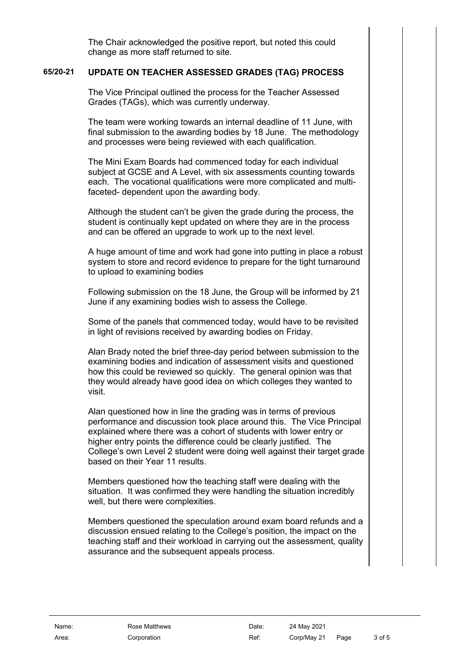The Chair acknowledged the positive report, but noted this could change as more staff returned to site.

## **65/20-21 UPDATE ON TEACHER ASSESSED GRADES (TAG) PROCESS**

<span id="page-2-0"></span>The Vice Principal outlined the process for the Teacher Assessed Grades (TAGs), which was currently underway.

The team were working towards an internal deadline of 11 June, with final submission to the awarding bodies by 18 June. The methodology and processes were being reviewed with each qualification.

The Mini Exam Boards had commenced today for each individual subject at GCSE and A Level, with six assessments counting towards each. The vocational qualifications were more complicated and multifaceted- dependent upon the awarding body.

Although the student can't be given the grade during the process, the student is continually kept updated on where they are in the process and can be offered an upgrade to work up to the next level.

A huge amount of time and work had gone into putting in place a robust system to store and record evidence to prepare for the tight turnaround to upload to examining bodies

Following submission on the 18 June, the Group will be informed by 21 June if any examining bodies wish to assess the College.

Some of the panels that commenced today, would have to be revisited in light of revisions received by awarding bodies on Friday.

Alan Brady noted the brief three-day period between submission to the examining bodies and indication of assessment visits and questioned how this could be reviewed so quickly. The general opinion was that they would already have good idea on which colleges they wanted to visit.

Alan questioned how in line the grading was in terms of previous performance and discussion took place around this. The Vice Principal explained where there was a cohort of students with lower entry or higher entry points the difference could be clearly justified. The College's own Level 2 student were doing well against their target grade based on their Year 11 results.

Members questioned how the teaching staff were dealing with the situation. It was confirmed they were handling the situation incredibly well, but there were complexities.

Members questioned the speculation around exam board refunds and a discussion ensued relating to the College's position, the impact on the teaching staff and their workload in carrying out the assessment, quality assurance and the subsequent appeals process.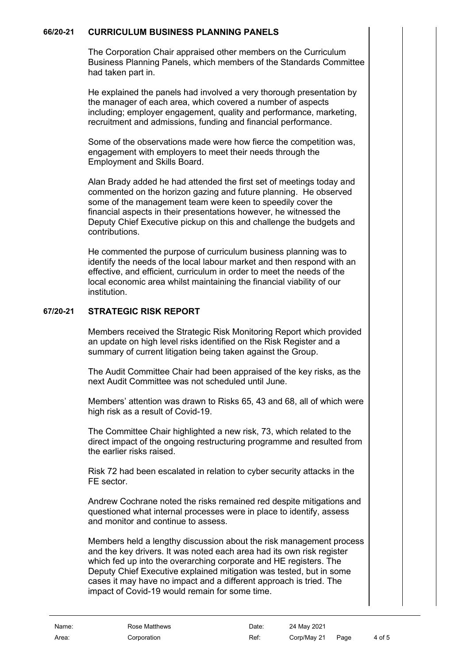## **66/20-21 CURRICULUM BUSINESS PLANNING PANELS**

<span id="page-3-0"></span>The Corporation Chair appraised other members on the Curriculum Business Planning Panels, which members of the Standards Committee had taken part in.

He explained the panels had involved a very thorough presentation by the manager of each area, which covered a number of aspects including; employer engagement, quality and performance, marketing, recruitment and admissions, funding and financial performance.

Some of the observations made were how fierce the competition was, engagement with employers to meet their needs through the Employment and Skills Board.

Alan Brady added he had attended the first set of meetings today and commented on the horizon gazing and future planning. He observed some of the management team were keen to speedily cover the financial aspects in their presentations however, he witnessed the Deputy Chief Executive pickup on this and challenge the budgets and contributions.

He commented the purpose of curriculum business planning was to identify the needs of the local labour market and then respond with an effective, and efficient, curriculum in order to meet the needs of the local economic area whilst maintaining the financial viability of our institution.

# **67/20-21 STRATEGIC RISK REPORT**

<span id="page-3-1"></span>Members received the Strategic Risk Monitoring Report which provided an update on high level risks identified on the Risk Register and a summary of current litigation being taken against the Group.

The Audit Committee Chair had been appraised of the key risks, as the next Audit Committee was not scheduled until June.

Members' attention was drawn to Risks 65, 43 and 68, all of which were high risk as a result of Covid-19.

The Committee Chair highlighted a new risk, 73, which related to the direct impact of the ongoing restructuring programme and resulted from the earlier risks raised.

Risk 72 had been escalated in relation to cyber security attacks in the FE sector.

Andrew Cochrane noted the risks remained red despite mitigations and questioned what internal processes were in place to identify, assess and monitor and continue to assess.

Members held a lengthy discussion about the risk management process and the key drivers. It was noted each area had its own risk register which fed up into the overarching corporate and HE registers. The Deputy Chief Executive explained mitigation was tested, but in some cases it may have no impact and a different approach is tried. The impact of Covid-19 would remain for some time.